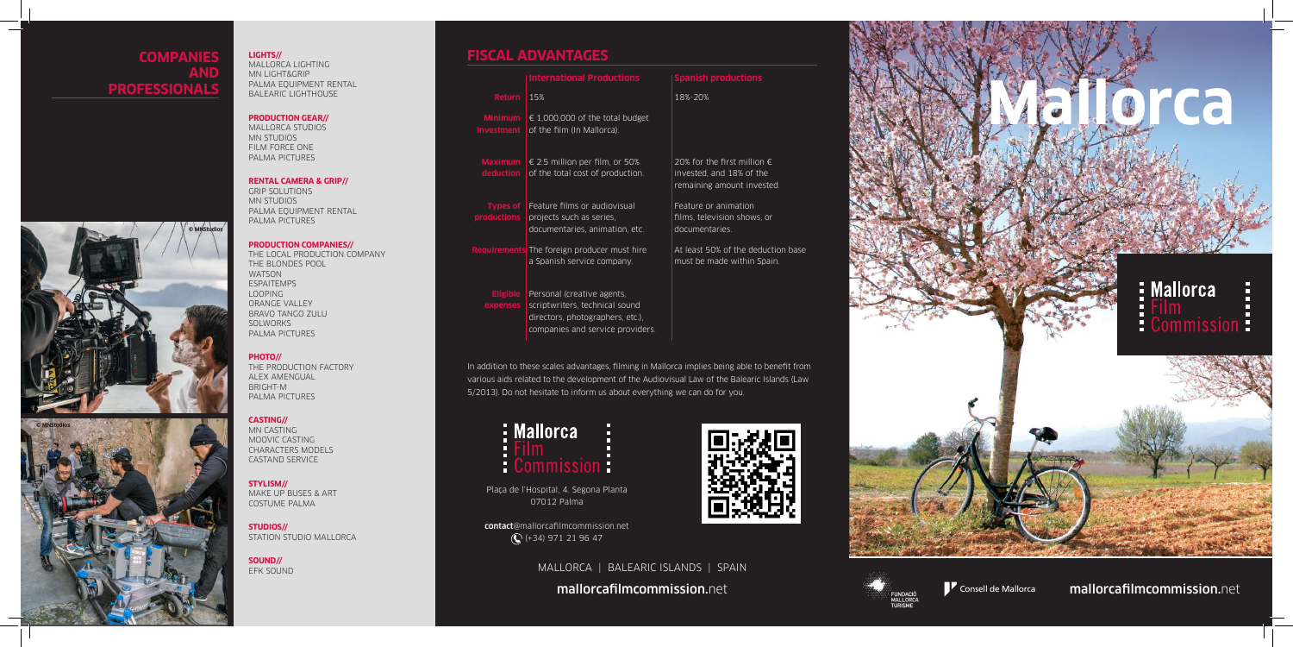



Consell de Mallorca

MALLORCA | BALEARIC ISLANDS | SPAIN

mallorcafilmcommission.net mallorcafilmcommission.net



Plaça de l'Hospital, 4. Segona Planta 07012 Palma

contact@mallorcafilmcommission.net (+34) 971 21 96 47



In addition to these scales advantages, filming in Mallorca implies being able to benefit from various aids related to the development of the Audiovisual Law of the Balearic Islands (Law 5/2013). Do not hesitate to inform us about everything we can do for you.



|                                     | <b>International Productions</b>                                                                                                     | <b>Spanish productions</b>                                                                     |
|-------------------------------------|--------------------------------------------------------------------------------------------------------------------------------------|------------------------------------------------------------------------------------------------|
| <b>Return</b>                       | 15%                                                                                                                                  | 18%-20%                                                                                        |
| <b>Minimum</b><br><b>Investment</b> | $\in$ 1,000,000 of the total budget<br>of the film (In Mallorca).                                                                    |                                                                                                |
| Maximum  <br>deduction              | $\in$ 2.5 million per film, or 50%<br>of the total cost of production.                                                               | 20% for the first million $\epsilon$<br>invested, and 18% of the<br>remaining amount invested. |
| <b>Types of</b><br>productions      | Feature films or audiovisual<br>projects such as series,<br>documentaries, animation, etc.                                           | Feature or animation<br>films, television shows, or<br>documentaries.                          |
|                                     | <b>Requirements</b> The foreign producer must hire<br>a Spanish service company.                                                     | At least 50% of the deduction base<br>must be made within Spain.                               |
| <b>Eligible</b><br>expenses         | Personal (creative agents,<br>scriptwriters, technical sound<br>directors, photographers, etc.),<br>companies and service providers. |                                                                                                |

## **COMPANIES AND PROFESSIONALS**

# **LIGHTS// FISCAL ADVANTAGES**

MALLORCA LIGHTING MN LIGHT&GRIP PALMA EQUIPMENT RENTAL BALEARIC LIGHTHOUSE

### **PRODUCTION GEAR//**

MALLORCA STUDIOS MN STUDIOS FILM FORCE ONE PALMA PICTURES

### **RENTAL CAMERA & GRIP//**

GRIP SOLUTIONS MN STUDIOS PALMA EQUIPMENT RENTAL PALMA PICTURES

### **PRODUCTION COMPANIES//**

THE LOCAL PRODUCTION COMPANY THE BLONDES POOL WATSON ESPAITEMPS LOOPING ORANGE VALLEY BRAVO TANGO ZULU SOLWORKS PALMA PICTURES

### **PHOTO//**

THE PRODUCTION FACTORY ALEX AMENGUAL BRIGHT-M PALMA PICTURES

### **CASTING//**

MN CASTING MOOVIC CASTING CHARACTERS MODELS CASTAND SERVICE

### **STYLISM//**

MAKE UP BUSES & ART COSTUME PALMA

**STUDIOS//** STATION STUDIO MALLORCA

**SOUND//** EFK SOUND